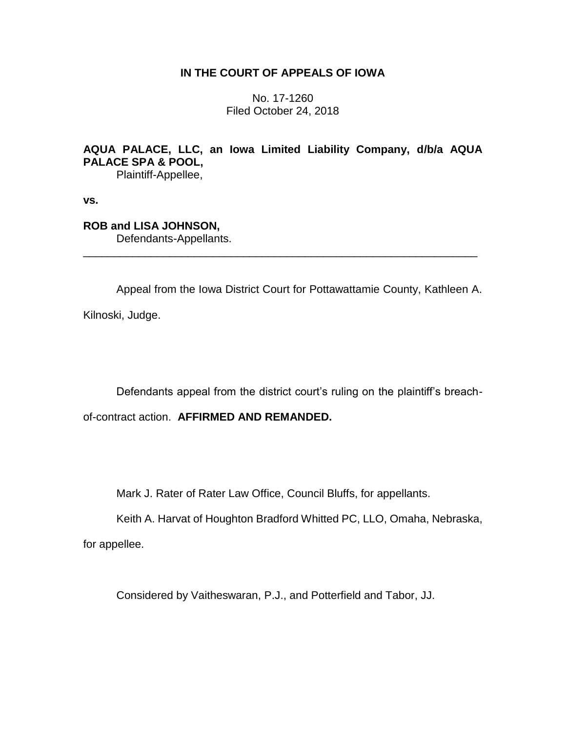# **IN THE COURT OF APPEALS OF IOWA**

No. 17-1260 Filed October 24, 2018

# **AQUA PALACE, LLC, an Iowa Limited Liability Company, d/b/a AQUA PALACE SPA & POOL,**

\_\_\_\_\_\_\_\_\_\_\_\_\_\_\_\_\_\_\_\_\_\_\_\_\_\_\_\_\_\_\_\_\_\_\_\_\_\_\_\_\_\_\_\_\_\_\_\_\_\_\_\_\_\_\_\_\_\_\_\_\_\_\_\_

Plaintiff-Appellee,

**vs.**

# **ROB and LISA JOHNSON,**

Defendants-Appellants.

Appeal from the Iowa District Court for Pottawattamie County, Kathleen A.

Kilnoski, Judge.

Defendants appeal from the district court's ruling on the plaintiff's breach-

of-contract action. **AFFIRMED AND REMANDED.**

Mark J. Rater of Rater Law Office, Council Bluffs, for appellants.

Keith A. Harvat of Houghton Bradford Whitted PC, LLO, Omaha, Nebraska,

for appellee.

Considered by Vaitheswaran, P.J., and Potterfield and Tabor, JJ.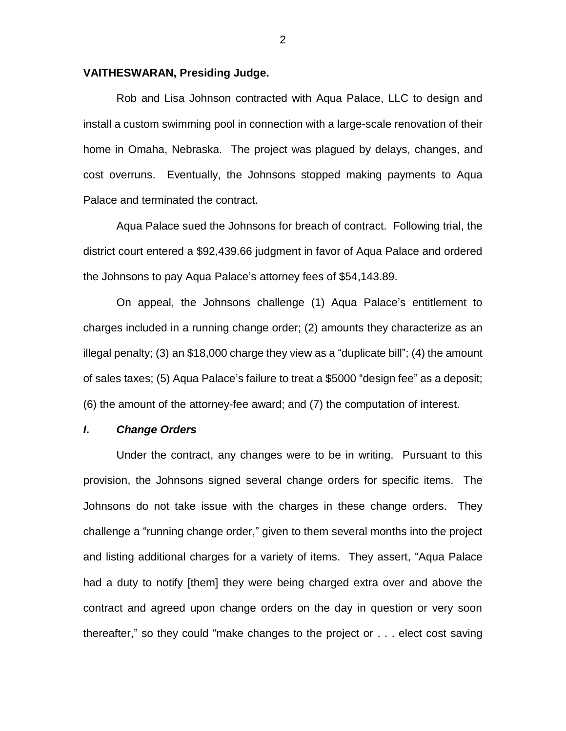### **VAITHESWARAN, Presiding Judge.**

Rob and Lisa Johnson contracted with Aqua Palace, LLC to design and install a custom swimming pool in connection with a large-scale renovation of their home in Omaha, Nebraska. The project was plagued by delays, changes, and cost overruns. Eventually, the Johnsons stopped making payments to Aqua Palace and terminated the contract.

Aqua Palace sued the Johnsons for breach of contract. Following trial, the district court entered a \$92,439.66 judgment in favor of Aqua Palace and ordered the Johnsons to pay Aqua Palace's attorney fees of \$54,143.89.

On appeal, the Johnsons challenge (1) Aqua Palace's entitlement to charges included in a running change order; (2) amounts they characterize as an illegal penalty; (3) an \$18,000 charge they view as a "duplicate bill"; (4) the amount of sales taxes; (5) Aqua Palace's failure to treat a \$5000 "design fee" as a deposit; (6) the amount of the attorney-fee award; and (7) the computation of interest.

#### *I***.** *Change Orders*

Under the contract, any changes were to be in writing. Pursuant to this provision, the Johnsons signed several change orders for specific items. The Johnsons do not take issue with the charges in these change orders. They challenge a "running change order," given to them several months into the project and listing additional charges for a variety of items. They assert, "Aqua Palace had a duty to notify [them] they were being charged extra over and above the contract and agreed upon change orders on the day in question or very soon thereafter," so they could "make changes to the project or . . . elect cost saving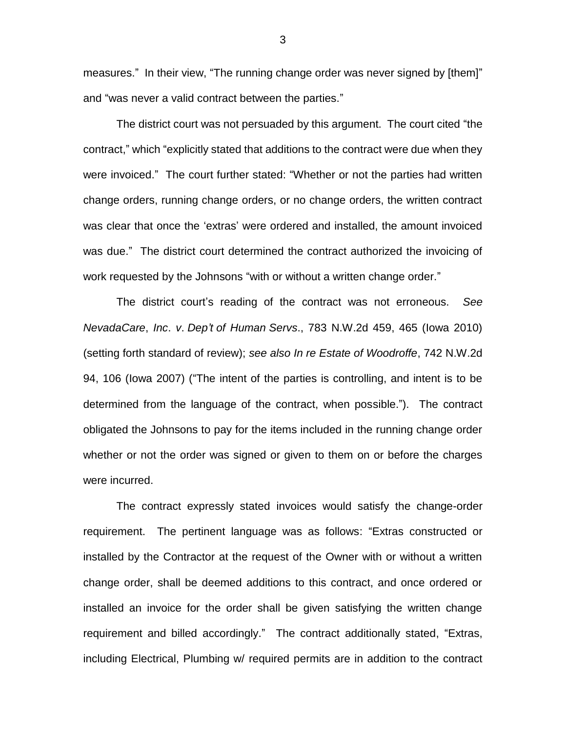measures." In their view, "The running change order was never signed by [them]" and "was never a valid contract between the parties."

The district court was not persuaded by this argument. The court cited "the contract," which "explicitly stated that additions to the contract were due when they were invoiced." The court further stated: "Whether or not the parties had written change orders, running change orders, or no change orders, the written contract was clear that once the 'extras' were ordered and installed, the amount invoiced was due." The district court determined the contract authorized the invoicing of work requested by the Johnsons "with or without a written change order."

The district court's reading of the contract was not erroneous. *See NevadaCare*, *Inc*. *v*. *Dep't of Human Servs*., 783 N.W.2d 459, 465 (Iowa 2010) (setting forth standard of review); *see also In re Estate of Woodroffe*, 742 N.W.2d 94, 106 (Iowa 2007) ("The intent of the parties is controlling, and intent is to be determined from the language of the contract, when possible."). The contract obligated the Johnsons to pay for the items included in the running change order whether or not the order was signed or given to them on or before the charges were incurred.

The contract expressly stated invoices would satisfy the change-order requirement. The pertinent language was as follows: "Extras constructed or installed by the Contractor at the request of the Owner with or without a written change order, shall be deemed additions to this contract, and once ordered or installed an invoice for the order shall be given satisfying the written change requirement and billed accordingly." The contract additionally stated, "Extras, including Electrical, Plumbing w/ required permits are in addition to the contract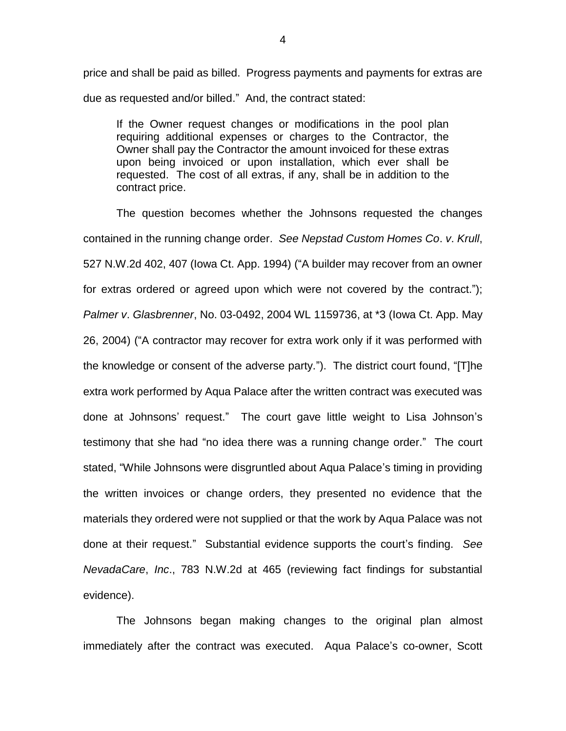price and shall be paid as billed. Progress payments and payments for extras are due as requested and/or billed." And, the contract stated:

If the Owner request changes or modifications in the pool plan requiring additional expenses or charges to the Contractor, the Owner shall pay the Contractor the amount invoiced for these extras upon being invoiced or upon installation, which ever shall be requested. The cost of all extras, if any, shall be in addition to the contract price.

The question becomes whether the Johnsons requested the changes contained in the running change order. *See Nepstad Custom Homes Co*. *v*. *Krull*, 527 N.W.2d 402, 407 (Iowa Ct. App. 1994) ("A builder may recover from an owner for extras ordered or agreed upon which were not covered by the contract."); *Palmer v*. *Glasbrenner*, No. 03-0492, 2004 WL 1159736, at \*3 (Iowa Ct. App. May 26, 2004) ("A contractor may recover for extra work only if it was performed with the knowledge or consent of the adverse party."). The district court found, "[T]he extra work performed by Aqua Palace after the written contract was executed was done at Johnsons' request." The court gave little weight to Lisa Johnson's testimony that she had "no idea there was a running change order." The court stated, "While Johnsons were disgruntled about Aqua Palace's timing in providing the written invoices or change orders, they presented no evidence that the materials they ordered were not supplied or that the work by Aqua Palace was not done at their request." Substantial evidence supports the court's finding. *See NevadaCare*, *Inc*., 783 N.W.2d at 465 (reviewing fact findings for substantial evidence).

The Johnsons began making changes to the original plan almost immediately after the contract was executed. Aqua Palace's co-owner, Scott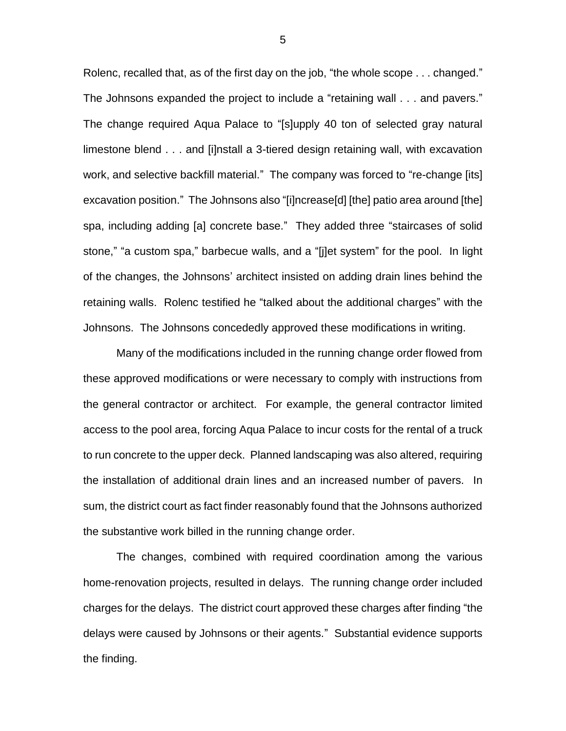Rolenc, recalled that, as of the first day on the job, "the whole scope . . . changed." The Johnsons expanded the project to include a "retaining wall . . . and pavers." The change required Aqua Palace to "[s]upply 40 ton of selected gray natural limestone blend . . . and [i]nstall a 3-tiered design retaining wall, with excavation work, and selective backfill material." The company was forced to "re-change [its] excavation position." The Johnsons also "[i]ncrease[d] [the] patio area around [the] spa, including adding [a] concrete base." They added three "staircases of solid stone," "a custom spa," barbecue walls, and a "[j]et system" for the pool. In light of the changes, the Johnsons' architect insisted on adding drain lines behind the retaining walls. Rolenc testified he "talked about the additional charges" with the Johnsons. The Johnsons concededly approved these modifications in writing.

Many of the modifications included in the running change order flowed from these approved modifications or were necessary to comply with instructions from the general contractor or architect. For example, the general contractor limited access to the pool area, forcing Aqua Palace to incur costs for the rental of a truck to run concrete to the upper deck. Planned landscaping was also altered, requiring the installation of additional drain lines and an increased number of pavers. In sum, the district court as fact finder reasonably found that the Johnsons authorized the substantive work billed in the running change order.

The changes, combined with required coordination among the various home-renovation projects, resulted in delays. The running change order included charges for the delays. The district court approved these charges after finding "the delays were caused by Johnsons or their agents." Substantial evidence supports the finding.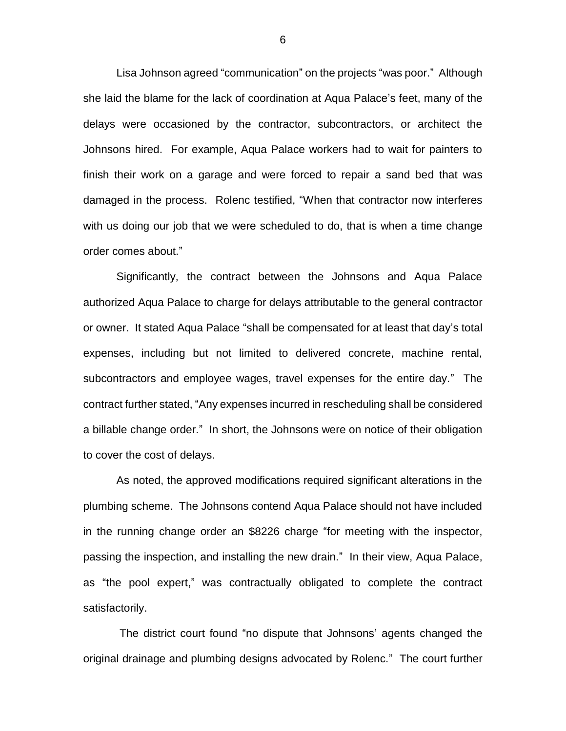Lisa Johnson agreed "communication" on the projects "was poor." Although she laid the blame for the lack of coordination at Aqua Palace's feet, many of the delays were occasioned by the contractor, subcontractors, or architect the Johnsons hired. For example, Aqua Palace workers had to wait for painters to finish their work on a garage and were forced to repair a sand bed that was damaged in the process. Rolenc testified, "When that contractor now interferes with us doing our job that we were scheduled to do, that is when a time change order comes about."

Significantly, the contract between the Johnsons and Aqua Palace authorized Aqua Palace to charge for delays attributable to the general contractor or owner. It stated Aqua Palace "shall be compensated for at least that day's total expenses, including but not limited to delivered concrete, machine rental, subcontractors and employee wages, travel expenses for the entire day." The contract further stated, "Any expenses incurred in rescheduling shall be considered a billable change order." In short, the Johnsons were on notice of their obligation to cover the cost of delays.

As noted, the approved modifications required significant alterations in the plumbing scheme. The Johnsons contend Aqua Palace should not have included in the running change order an \$8226 charge "for meeting with the inspector, passing the inspection, and installing the new drain." In their view, Aqua Palace, as "the pool expert," was contractually obligated to complete the contract satisfactorily.

The district court found "no dispute that Johnsons' agents changed the original drainage and plumbing designs advocated by Rolenc." The court further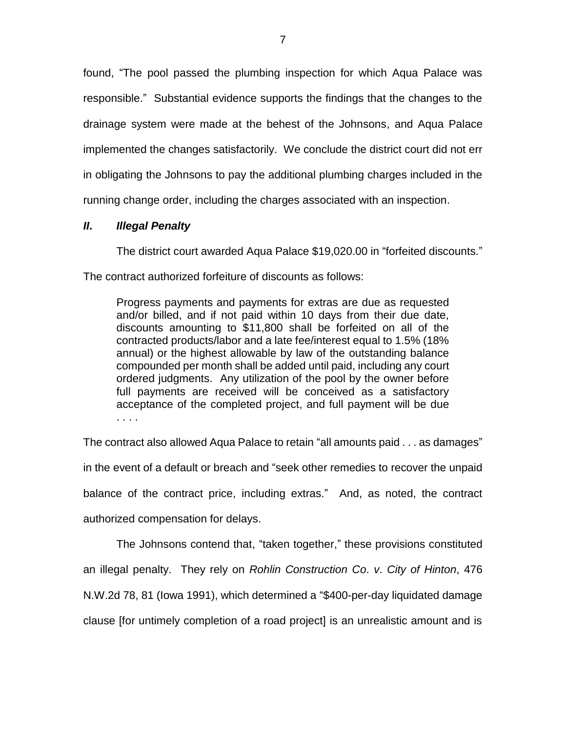found, "The pool passed the plumbing inspection for which Aqua Palace was responsible." Substantial evidence supports the findings that the changes to the drainage system were made at the behest of the Johnsons, and Aqua Palace implemented the changes satisfactorily. We conclude the district court did not err in obligating the Johnsons to pay the additional plumbing charges included in the running change order, including the charges associated with an inspection.

# *II***.** *Illegal Penalty*

The district court awarded Aqua Palace \$19,020.00 in "forfeited discounts."

The contract authorized forfeiture of discounts as follows:

Progress payments and payments for extras are due as requested and/or billed, and if not paid within 10 days from their due date, discounts amounting to \$11,800 shall be forfeited on all of the contracted products/labor and a late fee/interest equal to 1.5% (18% annual) or the highest allowable by law of the outstanding balance compounded per month shall be added until paid, including any court ordered judgments. Any utilization of the pool by the owner before full payments are received will be conceived as a satisfactory acceptance of the completed project, and full payment will be due . . . .

The contract also allowed Aqua Palace to retain "all amounts paid . . . as damages" in the event of a default or breach and "seek other remedies to recover the unpaid balance of the contract price, including extras." And, as noted, the contract authorized compensation for delays.

The Johnsons contend that, "taken together," these provisions constituted an illegal penalty. They rely on *Rohlin Construction Co*. *v*. *City of Hinton*, 476 N.W.2d 78, 81 (Iowa 1991), which determined a "\$400-per-day liquidated damage clause [for untimely completion of a road project] is an unrealistic amount and is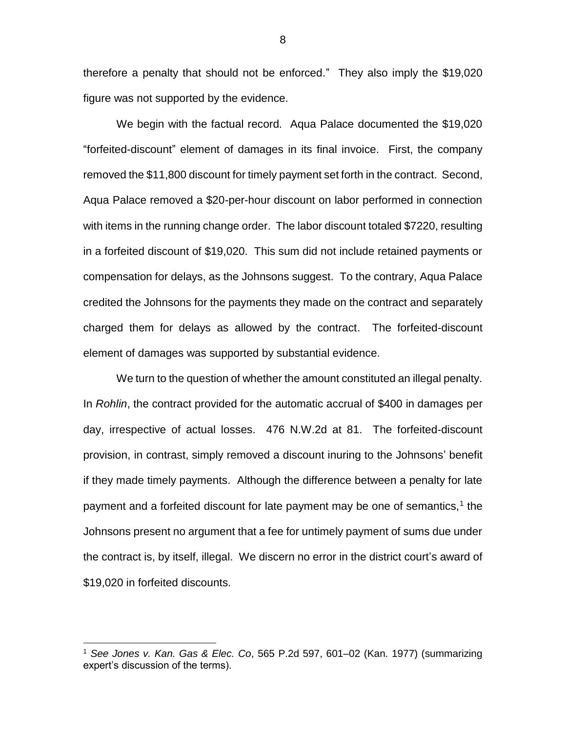therefore a penalty that should not be enforced." They also imply the \$19,020 figure was not supported by the evidence.

We begin with the factual record. Aqua Palace documented the \$19,020 "forfeited-discount" element of damages in its final invoice. First, the company removed the \$11,800 discount for timely payment set forth in the contract. Second, Aqua Palace removed a \$20-per-hour discount on labor performed in connection with items in the running change order. The labor discount totaled \$7220, resulting in a forfeited discount of \$19,020. This sum did not include retained payments or compensation for delays, as the Johnsons suggest. To the contrary, Aqua Palace credited the Johnsons for the payments they made on the contract and separately charged them for delays as allowed by the contract. The forfeited-discount element of damages was supported by substantial evidence.

We turn to the question of whether the amount constituted an illegal penalty. In *Rohlin*, the contract provided for the automatic accrual of \$400 in damages per day, irrespective of actual losses. 476 N.W.2d at 81. The forfeited-discount provision, in contrast, simply removed a discount inuring to the Johnsons' benefit if they made timely payments. Although the difference between a penalty for late payment and a forfeited discount for late payment may be one of semantics,<sup>1</sup> the Johnsons present no argument that a fee for untimely payment of sums due under the contract is, by itself, illegal. We discern no error in the district court's award of \$19,020 in forfeited discounts.

 $\overline{a}$ 

<sup>1</sup> *See Jones v. Kan. Gas & Elec. Co*, 565 P.2d 597, 601–02 (Kan. 1977) (summarizing expert's discussion of the terms).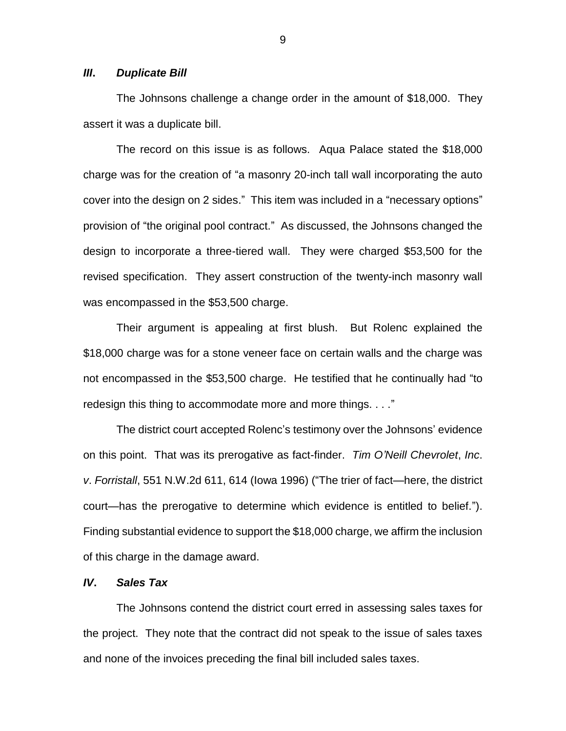## *III***.** *Duplicate Bill*

The Johnsons challenge a change order in the amount of \$18,000. They assert it was a duplicate bill.

The record on this issue is as follows. Aqua Palace stated the \$18,000 charge was for the creation of "a masonry 20-inch tall wall incorporating the auto cover into the design on 2 sides." This item was included in a "necessary options" provision of "the original pool contract." As discussed, the Johnsons changed the design to incorporate a three-tiered wall. They were charged \$53,500 for the revised specification. They assert construction of the twenty-inch masonry wall was encompassed in the \$53,500 charge.

Their argument is appealing at first blush. But Rolenc explained the \$18,000 charge was for a stone veneer face on certain walls and the charge was not encompassed in the \$53,500 charge. He testified that he continually had "to redesign this thing to accommodate more and more things. . . ."

The district court accepted Rolenc's testimony over the Johnsons' evidence on this point. That was its prerogative as fact-finder. *Tim O'Neill Chevrolet*, *Inc*. *v*. *Forristall*, 551 N.W.2d 611, 614 (Iowa 1996) ("The trier of fact—here, the district court—has the prerogative to determine which evidence is entitled to belief."). Finding substantial evidence to support the \$18,000 charge, we affirm the inclusion of this charge in the damage award.

## *IV***.** *Sales Tax*

The Johnsons contend the district court erred in assessing sales taxes for the project. They note that the contract did not speak to the issue of sales taxes and none of the invoices preceding the final bill included sales taxes.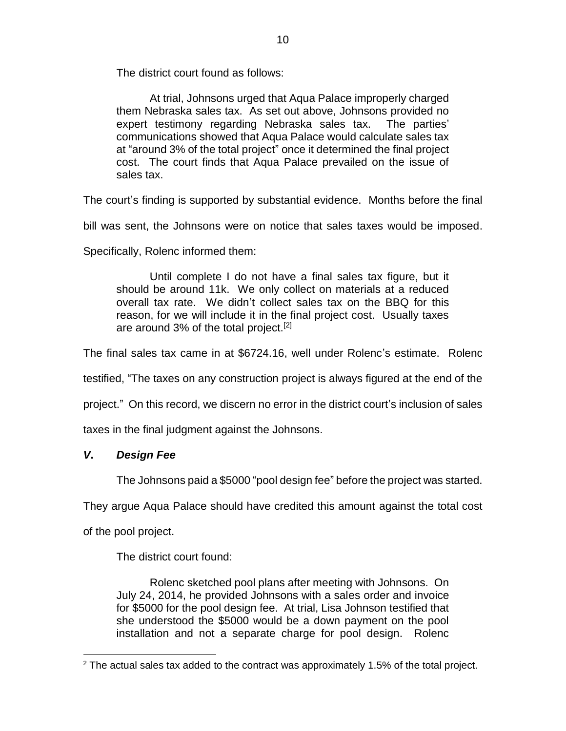The district court found as follows:

At trial, Johnsons urged that Aqua Palace improperly charged them Nebraska sales tax. As set out above, Johnsons provided no expert testimony regarding Nebraska sales tax. The parties' communications showed that Aqua Palace would calculate sales tax at "around 3% of the total project" once it determined the final project cost. The court finds that Aqua Palace prevailed on the issue of sales tax.

The court's finding is supported by substantial evidence. Months before the final

bill was sent, the Johnsons were on notice that sales taxes would be imposed.

Specifically, Rolenc informed them:

Until complete I do not have a final sales tax figure, but it should be around 11k. We only collect on materials at a reduced overall tax rate. We didn't collect sales tax on the BBQ for this reason, for we will include it in the final project cost. Usually taxes are around 3% of the total project.<sup>[2]</sup>

The final sales tax came in at \$6724.16, well under Rolenc's estimate. Rolenc

testified, "The taxes on any construction project is always figured at the end of the

project." On this record, we discern no error in the district court's inclusion of sales

taxes in the final judgment against the Johnsons.

# *V***.** *Design Fee*

The Johnsons paid a \$5000 "pool design fee" before the project was started.

They argue Aqua Palace should have credited this amount against the total cost

of the pool project.

 $\overline{a}$ 

The district court found:

Rolenc sketched pool plans after meeting with Johnsons. On July 24, 2014, he provided Johnsons with a sales order and invoice for \$5000 for the pool design fee. At trial, Lisa Johnson testified that she understood the \$5000 would be a down payment on the pool installation and not a separate charge for pool design. Rolenc

 $2$  The actual sales tax added to the contract was approximately 1.5% of the total project.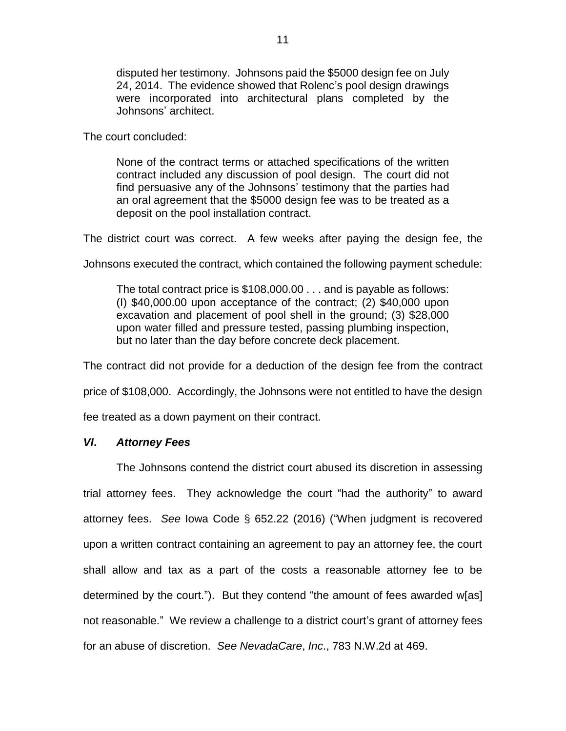disputed her testimony. Johnsons paid the \$5000 design fee on July 24, 2014. The evidence showed that Rolenc's pool design drawings were incorporated into architectural plans completed by the Johnsons' architect.

The court concluded:

None of the contract terms or attached specifications of the written contract included any discussion of pool design. The court did not find persuasive any of the Johnsons' testimony that the parties had an oral agreement that the \$5000 design fee was to be treated as a deposit on the pool installation contract.

The district court was correct. A few weeks after paying the design fee, the

Johnsons executed the contract, which contained the following payment schedule:

The total contract price is \$108,000.00 . . . and is payable as follows: (I) \$40,000.00 upon acceptance of the contract; (2) \$40,000 upon excavation and placement of pool shell in the ground; (3) \$28,000 upon water filled and pressure tested, passing plumbing inspection, but no later than the day before concrete deck placement.

The contract did not provide for a deduction of the design fee from the contract

price of \$108,000. Accordingly, the Johnsons were not entitled to have the design

fee treated as a down payment on their contract.

## *VI***.** *Attorney Fees*

The Johnsons contend the district court abused its discretion in assessing trial attorney fees. They acknowledge the court "had the authority" to award attorney fees. *See* Iowa Code § 652.22 (2016) ("When judgment is recovered upon a written contract containing an agreement to pay an attorney fee, the court shall allow and tax as a part of the costs a reasonable attorney fee to be determined by the court."). But they contend "the amount of fees awarded w[as] not reasonable." We review a challenge to a district court's grant of attorney fees for an abuse of discretion. *See NevadaCare*, *Inc*., 783 N.W.2d at 469.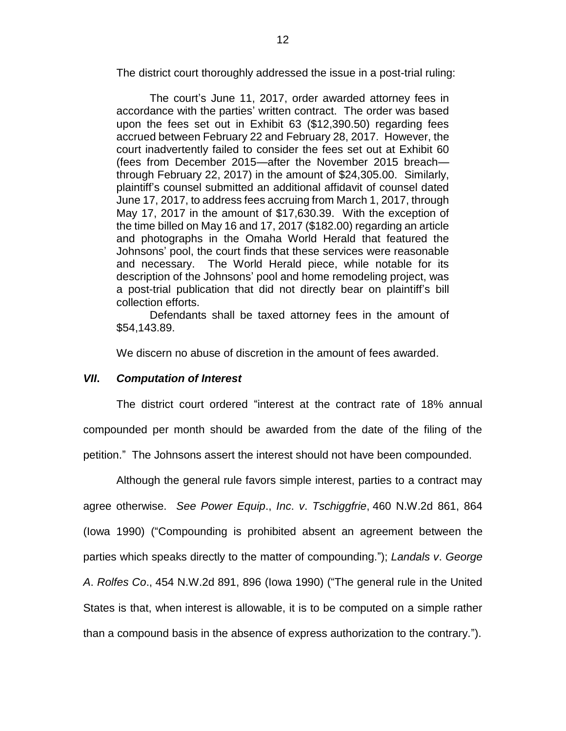The district court thoroughly addressed the issue in a post-trial ruling:

The court's June 11, 2017, order awarded attorney fees in accordance with the parties' written contract. The order was based upon the fees set out in Exhibit 63 (\$12,390.50) regarding fees accrued between February 22 and February 28, 2017. However, the court inadvertently failed to consider the fees set out at Exhibit 60 (fees from December 2015—after the November 2015 breach through February 22, 2017) in the amount of \$24,305.00. Similarly, plaintiff's counsel submitted an additional affidavit of counsel dated June 17, 2017, to address fees accruing from March 1, 2017, through May 17, 2017 in the amount of \$17,630.39. With the exception of the time billed on May 16 and 17, 2017 (\$182.00) regarding an article and photographs in the Omaha World Herald that featured the Johnsons' pool, the court finds that these services were reasonable and necessary. The World Herald piece, while notable for its description of the Johnsons' pool and home remodeling project, was a post-trial publication that did not directly bear on plaintiff's bill collection efforts.

Defendants shall be taxed attorney fees in the amount of \$54,143.89.

We discern no abuse of discretion in the amount of fees awarded.

# *VII***.** *Computation of Interest*

The district court ordered "interest at the contract rate of 18% annual compounded per month should be awarded from the date of the filing of the petition." The Johnsons assert the interest should not have been compounded.

Although the general rule favors simple interest, parties to a contract may agree otherwise. *See Power Equip*., *Inc*. *v*. *Tschiggfrie*, 460 N.W.2d 861, 864 (Iowa 1990) ("Compounding is prohibited absent an agreement between the parties which speaks directly to the matter of compounding."); *Landals v*. *George A*. *Rolfes Co*., 454 N.W.2d 891, 896 (Iowa 1990) ("The general rule in the United States is that, when interest is allowable, it is to be computed on a simple rather than a compound basis in the absence of express authorization to the contrary.").